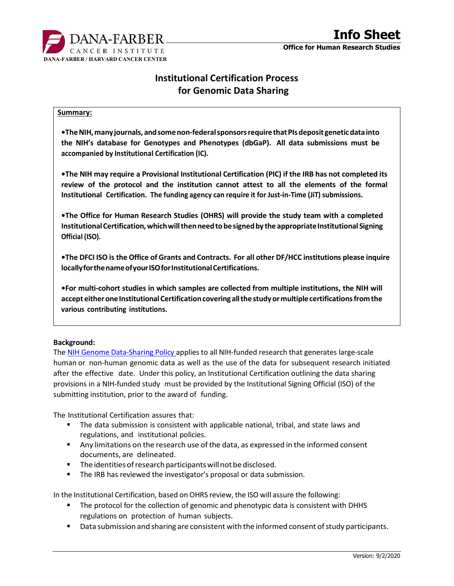

# Institutional Certification Process for Genomic Data Sharing

#### Summary:

•The NIH, many journals, and some non-federal sponsors require that PIs deposit genetic data into the NIH's database for Genotypes and Phenotypes (dbGaP). All data submissions must be accompanied by Institutional Certification (IC).

•The NIH may require a Provisional Institutional Certification (PIC) if the IRB has not completed its review of the protocol and the institution cannot attest to all the elements of the formal Institutional Certification. The funding agency can require it for Just-in-Time (JiT) submissions.

•The Office for Human Research Studies (OHRS) will provide the study team with a completed Institutional Certification, which will then need to be signed by the appropriate Institutional Signing Official (ISO).

•The DFCI ISO is the Office of Grants and Contracts. For all other DF/HCC institutions please inquire locally for the name of your ISO for Institutional Certifications.

•For multi-cohort studies in which samples are collected from multiple institutions, the NIH will accept either one Institutional Certification covering all the study or multiple certifications from the various contributing institutions.

### Background:

The NIH Genome Data-Sharing Policy applies to all NIH-funded research that generates large-scale human or non-human genomic data as well as the use of the data for subsequent research initiated after the effective date. Under this policy, an Institutional Certification outlining the data sharing provisions in a NIH-funded study must be provided by the Institutional Signing Official (ISO) of the submitting institution, prior to the award of funding.

The Institutional Certification assures that:

- **The data submission is consistent with applicable national, tribal, and state laws and** regulations, and institutional policies.
- Any limitations on the research use of the data, as expressed in the informed consent documents, are delineated.
- **The identities of research participants will not be disclosed.**
- **The IRB has reviewed the investigator's proposal or data submission.**

In the Institutional Certification, based on OHRS review, the ISO will assure the following:

- The protocol for the collection of genomic and phenotypic data is consistent with DHHS regulations on protection of human subjects.
- Data submission and sharing are consistent with the informed consent of study participants.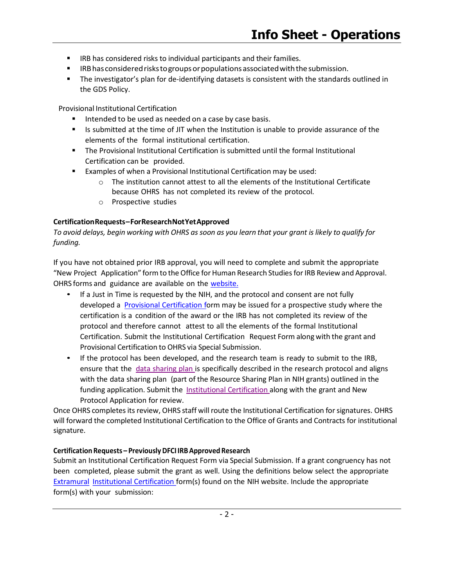- **IRB has considered risks to individual participants and their families.**
- **IRB** has considered risks to groups or populations associated with the submission.
- The investigator's plan for de-identifying datasets is consistent with the standards outlined in the GDS Policy.

Provisional Institutional Certification

- Intended to be used as needed on a case by case basis.
- Is submitted at the time of JIT when the Institution is unable to provide assurance of the elements of the formal institutional certification.
- The Provisional Institutional Certification is submitted until the formal Institutional Certification can be provided.
- Examples of when a Provisional Institutional Certification may be used:
	- $\circ$  The institution cannot attest to all the elements of the Institutional Certificate because OHRS has not completed its review of the protocol.
	- o Prospective studies

## Certification Requests – For Research Not Yet Approved

To avoid delays, begin working with OHRS as soon as you learn that your grant is likely to qualify for funding.

If you have not obtained prior IRB approval, you will need to complete and submit the appropriate "New Project Application" form to the Office for Human Research Studies for IRB Review and Approval. OHRS forms and guidance are available on the website.

- If a Just in Time is requested by the NIH, and the protocol and consent are not fully developed a Provisional Certification form may be issued for a prospective study where the certification is a condition of the award or the IRB has not completed its review of the protocol and therefore cannot attest to all the elements of the formal Institutional Certification. Submit the Institutional Certification Request Form along with the grant and Provisional Certification to OHRS via Special Submission.
- If the protocol has been developed, and the research team is ready to submit to the IRB, ensure that the data sharing plan is specifically described in the research protocol and aligns with the data sharing plan (part of the Resource Sharing Plan in NIH grants) outlined in the funding application. Submit the **Institutional Certification along with the grant and New** Protocol Application for review.

Once OHRS completes its review, OHRS staff will route the Institutional Certification for signatures. OHRS will forward the completed Institutional Certification to the Office of Grants and Contracts for institutional signature.

### Certification Requests – Previously DFCI IRB Approved Research

Submit an Institutional Certification Request Form via Special Submission. If a grant congruency has not been completed, please submit the grant as well. Using the definitions below select the appropriate Extramural Institutional Certification form(s) found on the NIH website. Include the appropriate form(s) with your submission: